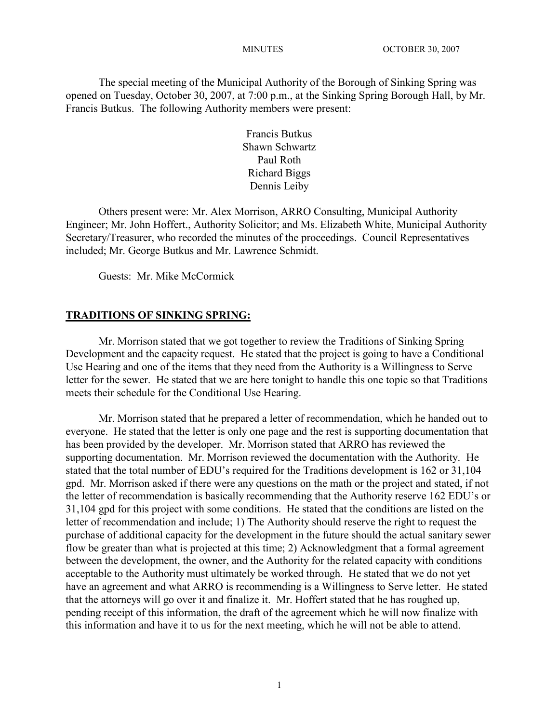The special meeting of the Municipal Authority of the Borough of Sinking Spring was opened on Tuesday, October 30, 2007, at 7:00 p.m., at the Sinking Spring Borough Hall, by Mr. Francis Butkus. The following Authority members were present:

> Francis Butkus Shawn Schwartz Paul Roth Richard Biggs Dennis Leiby

Others present were: Mr. Alex Morrison, ARRO Consulting, Municipal Authority Engineer; Mr. John Hoffert., Authority Solicitor; and Ms. Elizabeth White, Municipal Authority Secretary/Treasurer, who recorded the minutes of the proceedings. Council Representatives included; Mr. George Butkus and Mr. Lawrence Schmidt.

Guests: Mr. Mike McCormick

## **TRADITIONS OF SINKING SPRING:**

Mr. Morrison stated that we got together to review the Traditions of Sinking Spring Development and the capacity request. He stated that the project is going to have a Conditional Use Hearing and one of the items that they need from the Authority is a Willingness to Serve letter for the sewer. He stated that we are here tonight to handle this one topic so that Traditions meets their schedule for the Conditional Use Hearing.

Mr. Morrison stated that he prepared a letter of recommendation, which he handed out to everyone. He stated that the letter is only one page and the rest is supporting documentation that has been provided by the developer. Mr. Morrison stated that ARRO has reviewed the supporting documentation. Mr. Morrison reviewed the documentation with the Authority. He stated that the total number of EDU's required for the Traditions development is 162 or 31,104 gpd. Mr. Morrison asked if there were any questions on the math or the project and stated, if not the letter of recommendation is basically recommending that the Authority reserve 162 EDU's or 31,104 gpd for this project with some conditions. He stated that the conditions are listed on the letter of recommendation and include; 1) The Authority should reserve the right to request the purchase of additional capacity for the development in the future should the actual sanitary sewer flow be greater than what is projected at this time; 2) Acknowledgment that a formal agreement between the development, the owner, and the Authority for the related capacity with conditions acceptable to the Authority must ultimately be worked through. He stated that we do not yet have an agreement and what ARRO is recommending is a Willingness to Serve letter. He stated that the attorneys will go over it and finalize it. Mr. Hoffert stated that he has roughed up, pending receipt of this information, the draft of the agreement which he will now finalize with this information and have it to us for the next meeting, which he will not be able to attend.